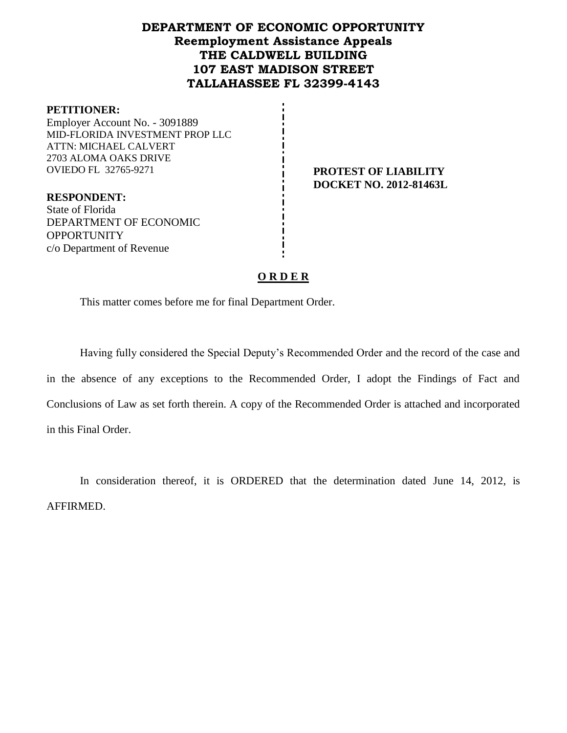# **DEPARTMENT OF ECONOMIC OPPORTUNITY Reemployment Assistance Appeals THE CALDWELL BUILDING 107 EAST MADISON STREET TALLAHASSEE FL 32399-4143**

#### **PETITIONER:**

Employer Account No. - 3091889 MID-FLORIDA INVESTMENT PROP LLC ATTN: MICHAEL CALVERT 2703 ALOMA OAKS DRIVE OVIEDO FL 32765-9271 **PROTEST OF LIABILITY**

**DOCKET NO. 2012-81463L**

**RESPONDENT:** State of Florida DEPARTMENT OF ECONOMIC **OPPORTUNITY** c/o Department of Revenue

#### **O R D E R**

This matter comes before me for final Department Order.

Having fully considered the Special Deputy's Recommended Order and the record of the case and in the absence of any exceptions to the Recommended Order, I adopt the Findings of Fact and Conclusions of Law as set forth therein. A copy of the Recommended Order is attached and incorporated in this Final Order.

In consideration thereof, it is ORDERED that the determination dated June 14, 2012, is AFFIRMED.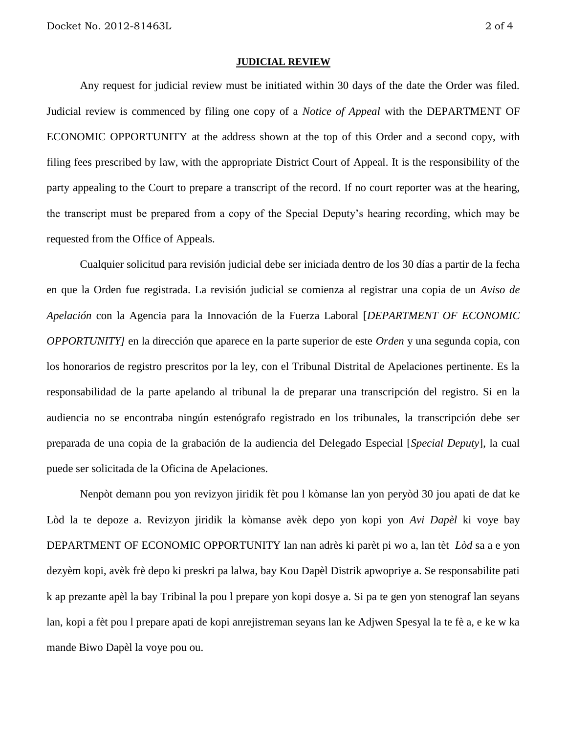#### **JUDICIAL REVIEW**

Any request for judicial review must be initiated within 30 days of the date the Order was filed. Judicial review is commenced by filing one copy of a *Notice of Appeal* with the DEPARTMENT OF ECONOMIC OPPORTUNITY at the address shown at the top of this Order and a second copy, with filing fees prescribed by law, with the appropriate District Court of Appeal. It is the responsibility of the party appealing to the Court to prepare a transcript of the record. If no court reporter was at the hearing, the transcript must be prepared from a copy of the Special Deputy's hearing recording, which may be requested from the Office of Appeals.

Cualquier solicitud para revisión judicial debe ser iniciada dentro de los 30 días a partir de la fecha en que la Orden fue registrada. La revisión judicial se comienza al registrar una copia de un *Aviso de Apelación* con la Agencia para la Innovación de la Fuerza Laboral [*DEPARTMENT OF ECONOMIC OPPORTUNITY]* en la dirección que aparece en la parte superior de este *Orden* y una segunda copia, con los honorarios de registro prescritos por la ley, con el Tribunal Distrital de Apelaciones pertinente. Es la responsabilidad de la parte apelando al tribunal la de preparar una transcripción del registro. Si en la audiencia no se encontraba ningún estenógrafo registrado en los tribunales, la transcripción debe ser preparada de una copia de la grabación de la audiencia del Delegado Especial [*Special Deputy*], la cual puede ser solicitada de la Oficina de Apelaciones.

Nenpòt demann pou yon revizyon jiridik fèt pou l kòmanse lan yon peryòd 30 jou apati de dat ke Lòd la te depoze a. Revizyon jiridik la kòmanse avèk depo yon kopi yon *Avi Dapèl* ki voye bay DEPARTMENT OF ECONOMIC OPPORTUNITY lan nan adrès ki parèt pi wo a, lan tèt *Lòd* sa a e yon dezyèm kopi, avèk frè depo ki preskri pa lalwa, bay Kou Dapèl Distrik apwopriye a. Se responsabilite pati k ap prezante apèl la bay Tribinal la pou l prepare yon kopi dosye a. Si pa te gen yon stenograf lan seyans lan, kopi a fèt pou l prepare apati de kopi anrejistreman seyans lan ke Adjwen Spesyal la te fè a, e ke w ka mande Biwo Dapèl la voye pou ou.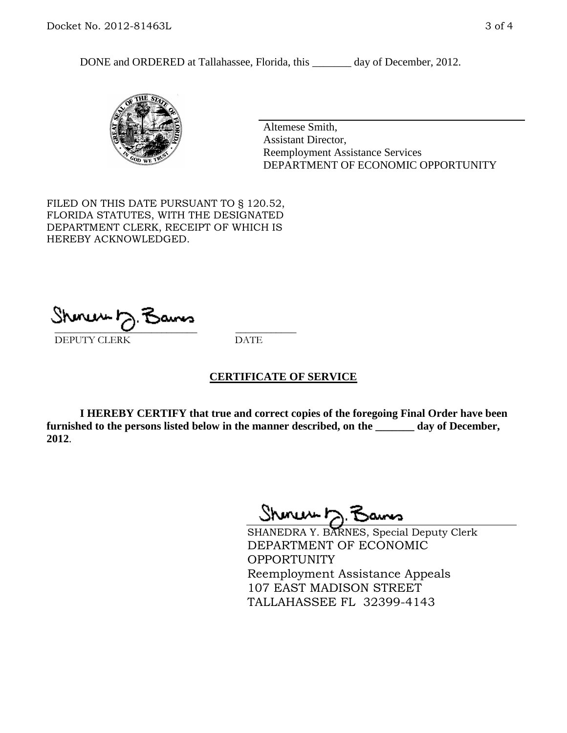DONE and ORDERED at Tallahassee, Florida, this \_\_\_\_\_\_\_ day of December, 2012.



Altemese Smith, Assistant Director, Reemployment Assistance Services DEPARTMENT OF ECONOMIC OPPORTUNITY

FILED ON THIS DATE PURSUANT TO § 120.52, FLORIDA STATUTES, WITH THE DESIGNATED DEPARTMENT CLERK, RECEIPT OF WHICH IS HEREBY ACKNOWLEDGED.

 $\overline{\phantom{a}}$  ,  $\overline{\phantom{a}}$  ,  $\overline{\phantom{a}}$  ,  $\overline{\phantom{a}}$  ,  $\overline{\phantom{a}}$  ,  $\overline{\phantom{a}}$  ,  $\overline{\phantom{a}}$  ,  $\overline{\phantom{a}}$ DEPUTY CLERK DATE

#### **CERTIFICATE OF SERVICE**

**I HEREBY CERTIFY that true and correct copies of the foregoing Final Order have been furnished to the persons listed below in the manner described, on the \_\_\_\_\_\_\_ day of December, 2012**.

Shoner 5. Bans

SHANEDRA Y. BARNES, Special Deputy Clerk DEPARTMENT OF ECONOMIC OPPORTUNITY Reemployment Assistance Appeals 107 EAST MADISON STREET TALLAHASSEE FL 32399-4143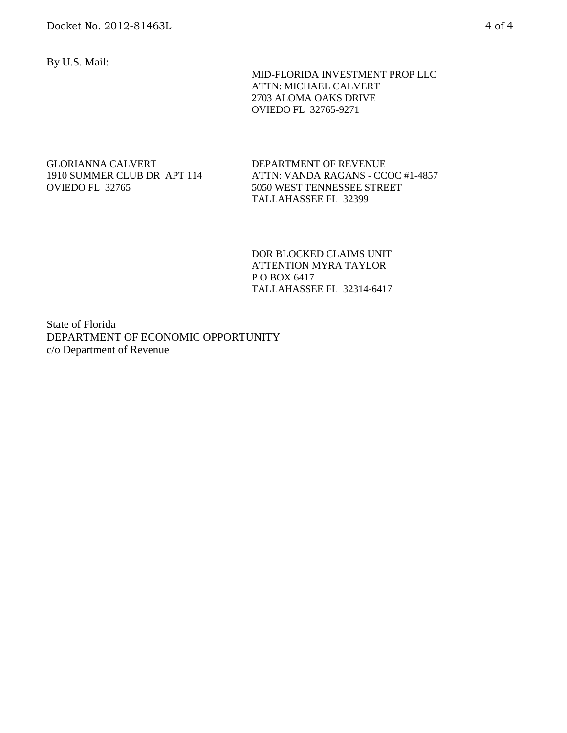By U.S. Mail:

 MID-FLORIDA INVESTMENT PROP LLC ATTN: MICHAEL CALVERT 2703 ALOMA OAKS DRIVE OVIEDO FL 32765-9271

#### GLORIANNA CALVERT 1910 SUMMER CLUB DR APT 114 OVIEDO FL 32765

DEPARTMENT OF REVENUE ATTN: VANDA RAGANS - CCOC #1-4857 5050 WEST TENNESSEE STREET TALLAHASSEE FL 32399

DOR BLOCKED CLAIMS UNIT ATTENTION MYRA TAYLOR P O BOX 6417 TALLAHASSEE FL 32314-6417

State of Florida DEPARTMENT OF ECONOMIC OPPORTUNITY c/o Department of Revenue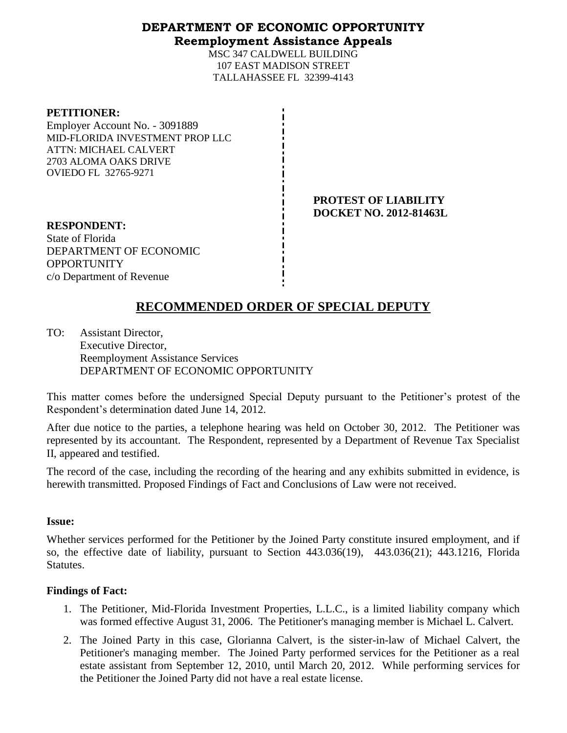### **DEPARTMENT OF ECONOMIC OPPORTUNITY Reemployment Assistance Appeals**

MSC 347 CALDWELL BUILDING 107 EAST MADISON STREET TALLAHASSEE FL 32399-4143

| <b>PETITIONER:</b>              |
|---------------------------------|
| Employer Account No. - 3091889  |
| MID-FLORIDA INVESTMENT PROP LLC |
| ATTN: MICHAEL CALVERT           |
| 2703 ALOMA OAKS DRIVE           |
| <b>OVIEDO FL 32765-9271</b>     |
|                                 |

**PROTEST OF LIABILITY DOCKET NO. 2012-81463L**

**RESPONDENT:** State of Florida DEPARTMENT OF ECONOMIC **OPPORTUNITY** c/o Department of Revenue

# **RECOMMENDED ORDER OF SPECIAL DEPUTY**

TO: Assistant Director, Executive Director, Reemployment Assistance Services DEPARTMENT OF ECONOMIC OPPORTUNITY

This matter comes before the undersigned Special Deputy pursuant to the Petitioner's protest of the Respondent's determination dated June 14, 2012.

After due notice to the parties, a telephone hearing was held on October 30, 2012. The Petitioner was represented by its accountant. The Respondent, represented by a Department of Revenue Tax Specialist II, appeared and testified.

The record of the case, including the recording of the hearing and any exhibits submitted in evidence, is herewith transmitted. Proposed Findings of Fact and Conclusions of Law were not received.

#### **Issue:**

Whether services performed for the Petitioner by the Joined Party constitute insured employment, and if so, the effective date of liability, pursuant to Section 443.036(19), 443.036(21); 443.1216, Florida Statutes.

### **Findings of Fact:**

- 1. The Petitioner, Mid-Florida Investment Properties, L.L.C., is a limited liability company which was formed effective August 31, 2006. The Petitioner's managing member is Michael L. Calvert.
- 2. The Joined Party in this case, Glorianna Calvert, is the sister-in-law of Michael Calvert, the Petitioner's managing member. The Joined Party performed services for the Petitioner as a real estate assistant from September 12, 2010, until March 20, 2012. While performing services for the Petitioner the Joined Party did not have a real estate license.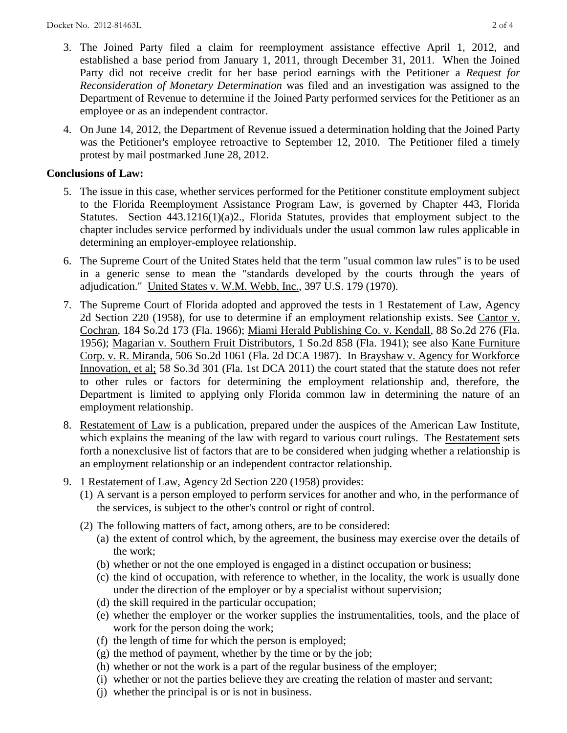- 3. The Joined Party filed a claim for reemployment assistance effective April 1, 2012, and established a base period from January 1, 2011, through December 31, 2011. When the Joined Party did not receive credit for her base period earnings with the Petitioner a *Request for Reconsideration of Monetary Determination* was filed and an investigation was assigned to the Department of Revenue to determine if the Joined Party performed services for the Petitioner as an employee or as an independent contractor.
- 4. On June 14, 2012, the Department of Revenue issued a determination holding that the Joined Party was the Petitioner's employee retroactive to September 12, 2010. The Petitioner filed a timely protest by mail postmarked June 28, 2012.

## **Conclusions of Law:**

- 5. The issue in this case, whether services performed for the Petitioner constitute employment subject to the Florida Reemployment Assistance Program Law, is governed by Chapter 443, Florida Statutes. Section 443.1216(1)(a)2., Florida Statutes, provides that employment subject to the chapter includes service performed by individuals under the usual common law rules applicable in determining an employer-employee relationship.
- 6. The Supreme Court of the United States held that the term "usual common law rules" is to be used in a generic sense to mean the "standards developed by the courts through the years of adjudication." United States v. W.M. Webb, Inc., 397 U.S. 179 (1970).
- 7. The Supreme Court of Florida adopted and approved the tests in 1 Restatement of Law, Agency 2d Section 220 (1958), for use to determine if an employment relationship exists. See Cantor v. Cochran, 184 So.2d 173 (Fla. 1966); Miami Herald Publishing Co. v. Kendall, 88 So.2d 276 (Fla. 1956); Magarian v. Southern Fruit Distributors, 1 So.2d 858 (Fla. 1941); see also Kane Furniture Corp. v. R. Miranda, 506 So.2d 1061 (Fla. 2d DCA 1987). In Brayshaw v. Agency for Workforce Innovation, et al; 58 So.3d 301 (Fla. 1st DCA 2011) the court stated that the statute does not refer to other rules or factors for determining the employment relationship and, therefore, the Department is limited to applying only Florida common law in determining the nature of an employment relationship.
- 8. Restatement of Law is a publication, prepared under the auspices of the American Law Institute, which explains the meaning of the law with regard to various court rulings. The Restatement sets forth a nonexclusive list of factors that are to be considered when judging whether a relationship is an employment relationship or an independent contractor relationship.
- 9. 1 Restatement of Law, Agency 2d Section 220 (1958) provides:
	- (1) A servant is a person employed to perform services for another and who, in the performance of the services, is subject to the other's control or right of control.
	- (2) The following matters of fact, among others, are to be considered:
		- (a) the extent of control which, by the agreement, the business may exercise over the details of the work;
		- (b) whether or not the one employed is engaged in a distinct occupation or business;
		- (c) the kind of occupation, with reference to whether, in the locality, the work is usually done under the direction of the employer or by a specialist without supervision;
		- (d) the skill required in the particular occupation;
		- (e) whether the employer or the worker supplies the instrumentalities, tools, and the place of work for the person doing the work;
		- (f) the length of time for which the person is employed;
		- $(g)$  the method of payment, whether by the time or by the job;
		- (h) whether or not the work is a part of the regular business of the employer;
		- (i) whether or not the parties believe they are creating the relation of master and servant;
		- (j) whether the principal is or is not in business.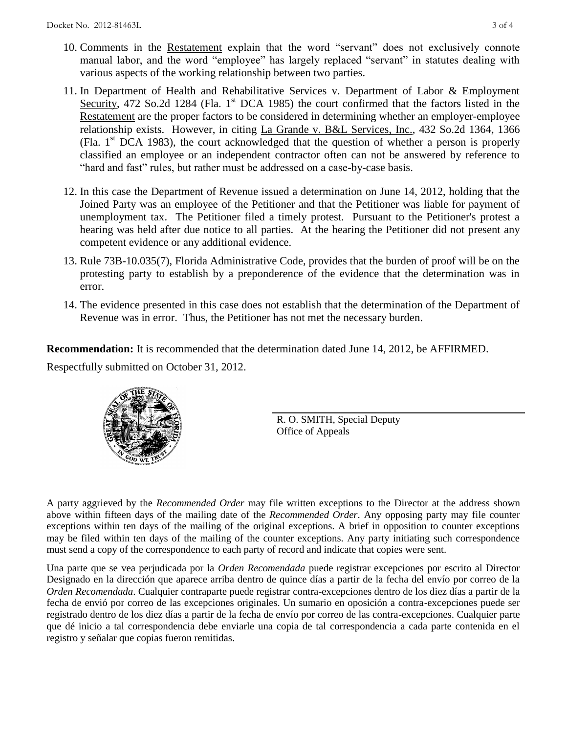- 10. Comments in the Restatement explain that the word "servant" does not exclusively connote manual labor, and the word "employee" has largely replaced "servant" in statutes dealing with various aspects of the working relationship between two parties.
- 11. In Department of Health and Rehabilitative Services v. Department of Labor & Employment Security, 472 So.2d 1284 (Fla. 1<sup>st</sup> DCA 1985) the court confirmed that the factors listed in the Restatement are the proper factors to be considered in determining whether an employer-employee relationship exists. However, in citing La Grande v. B&L Services, Inc., 432 So.2d 1364, 1366 (Fla.  $1<sup>st</sup> DCA$  1983), the court acknowledged that the question of whether a person is properly classified an employee or an independent contractor often can not be answered by reference to "hard and fast" rules, but rather must be addressed on a case-by-case basis.
- 12. In this case the Department of Revenue issued a determination on June 14, 2012, holding that the Joined Party was an employee of the Petitioner and that the Petitioner was liable for payment of unemployment tax. The Petitioner filed a timely protest. Pursuant to the Petitioner's protest a hearing was held after due notice to all parties. At the hearing the Petitioner did not present any competent evidence or any additional evidence.
- 13. Rule 73B-10.035(7), Florida Administrative Code, provides that the burden of proof will be on the protesting party to establish by a preponderence of the evidence that the determination was in error.
- 14. The evidence presented in this case does not establish that the determination of the Department of Revenue was in error. Thus, the Petitioner has not met the necessary burden.

**Recommendation:** It is recommended that the determination dated June 14, 2012, be AFFIRMED.

Respectfully submitted on October 31, 2012.



R. O. SMITH, Special Deputy Office of Appeals

A party aggrieved by the *Recommended Order* may file written exceptions to the Director at the address shown above within fifteen days of the mailing date of the *Recommended Order*. Any opposing party may file counter exceptions within ten days of the mailing of the original exceptions. A brief in opposition to counter exceptions may be filed within ten days of the mailing of the counter exceptions. Any party initiating such correspondence must send a copy of the correspondence to each party of record and indicate that copies were sent.

Una parte que se vea perjudicada por la *Orden Recomendada* puede registrar excepciones por escrito al Director Designado en la dirección que aparece arriba dentro de quince días a partir de la fecha del envío por correo de la *Orden Recomendada*. Cualquier contraparte puede registrar contra-excepciones dentro de los diez días a partir de la fecha de envió por correo de las excepciones originales. Un sumario en oposición a contra-excepciones puede ser registrado dentro de los diez días a partir de la fecha de envío por correo de las contra-excepciones. Cualquier parte que dé inicio a tal correspondencia debe enviarle una copia de tal correspondencia a cada parte contenida en el registro y señalar que copias fueron remitidas.